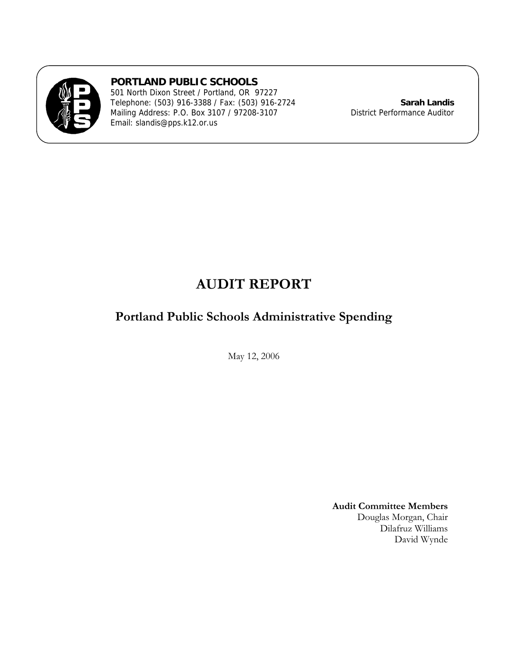

**PORTLAND PUBLIC SCHOOLS** 

501 North Dixon Street / Portland, OR 97227 Telephone: (503) 916-3388 / Fax: (503) 916-2724 **Sarah Landis** Mailing Address: P.O. Box 3107 / 97208-3107 District Performance Auditor Email: slandis@pps.k12.or.us

# **AUDIT REPORT**

# **Portland Public Schools Administrative Spending**

May 12, 2006

**Audit Committee Members**  Douglas Morgan, Chair Dilafruz Williams David Wynde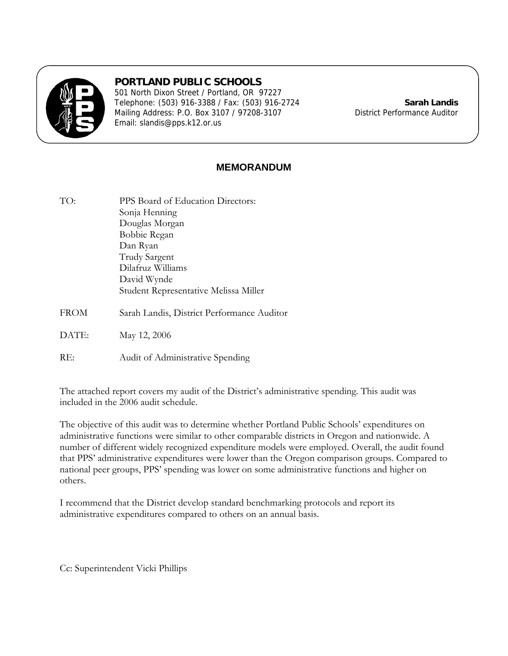

# **PORTLAND PUBLIC SCHOOLS**

501 North Dixon Street / Portland, OR 97227 Telephone: (503) 916-3388 / Fax: (503) 916-2724 **Sarah Landis** Mailing Address: P.O. Box 3107 / 97208-3107 District Performance Auditor Email: slandis@pps.k12.or.us

# **MEMORANDUM**

TO: PPS Board of Education Directors: Sonja Henning Douglas Morgan Bobbie Regan Dan Ryan Trudy Sargent Dilafruz Williams David Wynde Student Representative Melissa Miller FROM Sarah Landis, District Performance Auditor DATE: May 12, 2006

RE: Audit of Administrative Spending

The attached report covers my audit of the District's administrative spending. This audit was included in the 2006 audit schedule.

The objective of this audit was to determine whether Portland Public Schools' expenditures on administrative functions were similar to other comparable districts in Oregon and nationwide. A number of different widely recognized expenditure models were employed. Overall, the audit found that PPS' administrative expenditures were lower than the Oregon comparison groups. Compared to national peer groups, PPS' spending was lower on some administrative functions and higher on others.

I recommend that the District develop standard benchmarking protocols and report its administrative expenditures compared to others on an annual basis.

Cc: Superintendent Vicki Phillips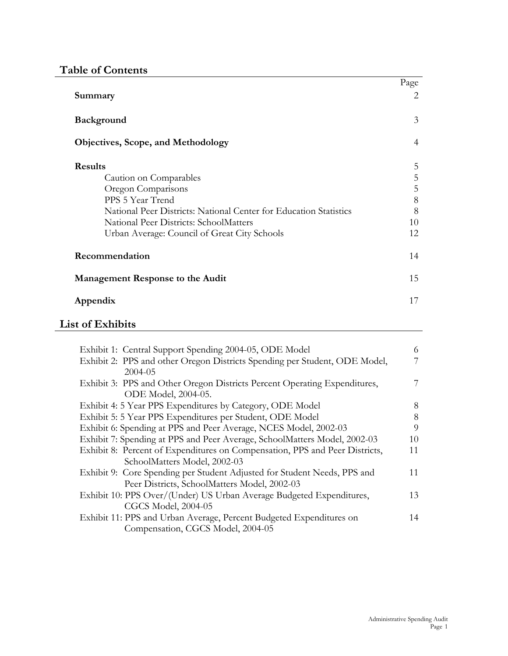# **Table of Contents**

|                                                                   | Page           |
|-------------------------------------------------------------------|----------------|
| Summary                                                           | $\overline{2}$ |
| <b>Background</b>                                                 | 3              |
| <b>Objectives, Scope, and Methodology</b>                         | $\overline{4}$ |
| <b>Results</b>                                                    | 5              |
| Caution on Comparables                                            | 5              |
| Oregon Comparisons                                                | 5              |
| PPS 5 Year Trend                                                  | 8              |
| National Peer Districts: National Center for Education Statistics | 8              |
| National Peer Districts: SchoolMatters                            | 10             |
| Urban Average: Council of Great City Schools                      | 12             |
| Recommendation                                                    | 14             |
| Management Response to the Audit                                  | 15             |
| Appendix                                                          | 17             |

# **List of Exhibits**

| Exhibit 1: Central Support Spending 2004-05, ODE Model                      | 6  |
|-----------------------------------------------------------------------------|----|
| Exhibit 2: PPS and other Oregon Districts Spending per Student, ODE Model,  |    |
| 2004-05                                                                     |    |
| Exhibit 3: PPS and Other Oregon Districts Percent Operating Expenditures,   | 7  |
| ODE Model, 2004-05.                                                         |    |
| Exhibit 4: 5 Year PPS Expenditures by Category, ODE Model                   | 8  |
| Exhibit 5: 5 Year PPS Expenditures per Student, ODE Model                   | 8  |
| Exhibit 6: Spending at PPS and Peer Average, NCES Model, 2002-03            | 9  |
| Exhibit 7: Spending at PPS and Peer Average, SchoolMatters Model, 2002-03   | 10 |
| Exhibit 8: Percent of Expenditures on Compensation, PPS and Peer Districts, | 11 |
| SchoolMatters Model, 2002-03                                                |    |
| Exhibit 9: Core Spending per Student Adjusted for Student Needs, PPS and    | 11 |
| Peer Districts, SchoolMatters Model, 2002-03                                |    |
| Exhibit 10: PPS Over/(Under) US Urban Average Budgeted Expenditures,        | 13 |
| <b>CGCS Model, 2004-05</b>                                                  |    |
| Exhibit 11: PPS and Urban Average, Percent Budgeted Expenditures on         | 14 |
| Compensation, CGCS Model, 2004-05                                           |    |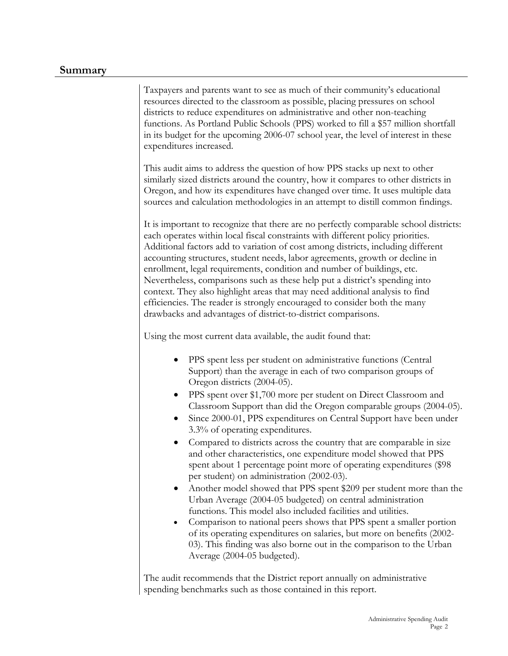## **Summary**

Taxpayers and parents want to see as much of their community's educational resources directed to the classroom as possible, placing pressures on school districts to reduce expenditures on administrative and other non-teaching functions. As Portland Public Schools (PPS) worked to fill a \$57 million shortfall in its budget for the upcoming 2006-07 school year, the level of interest in these expenditures increased.

This audit aims to address the question of how PPS stacks up next to other similarly sized districts around the country, how it compares to other districts in Oregon, and how its expenditures have changed over time. It uses multiple data sources and calculation methodologies in an attempt to distill common findings.

It is important to recognize that there are no perfectly comparable school districts: each operates within local fiscal constraints with different policy priorities. Additional factors add to variation of cost among districts, including different accounting structures, student needs, labor agreements, growth or decline in enrollment, legal requirements, condition and number of buildings, etc. Nevertheless, comparisons such as these help put a district's spending into context. They also highlight areas that may need additional analysis to find efficiencies. The reader is strongly encouraged to consider both the many drawbacks and advantages of district-to-district comparisons.

Using the most current data available, the audit found that:

- PPS spent less per student on administrative functions (Central Support) than the average in each of two comparison groups of Oregon districts (2004-05).
- PPS spent over \$1,700 more per student on Direct Classroom and Classroom Support than did the Oregon comparable groups (2004-05).
- Since 2000-01, PPS expenditures on Central Support have been under 3.3% of operating expenditures.
- Compared to districts across the country that are comparable in size and other characteristics, one expenditure model showed that PPS spent about 1 percentage point more of operating expenditures (\$98 per student) on administration (2002-03).
- Another model showed that PPS spent \$209 per student more than the Urban Average (2004-05 budgeted) on central administration functions. This model also included facilities and utilities.
- Comparison to national peers shows that PPS spent a smaller portion of its operating expenditures on salaries, but more on benefits (2002- 03). This finding was also borne out in the comparison to the Urban Average (2004-05 budgeted).

The audit recommends that the District report annually on administrative spending benchmarks such as those contained in this report.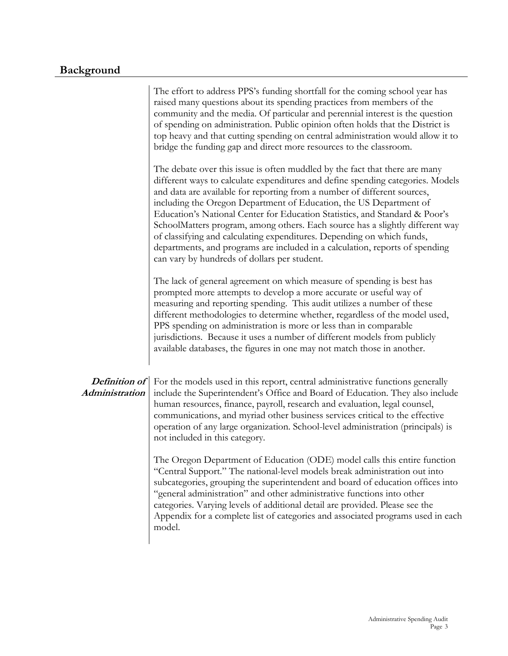# **Background**

|                                 | The effort to address PPS's funding shortfall for the coming school year has<br>raised many questions about its spending practices from members of the<br>community and the media. Of particular and perennial interest is the question<br>of spending on administration. Public opinion often holds that the District is<br>top heavy and that cutting spending on central administration would allow it to<br>bridge the funding gap and direct more resources to the classroom.                                                                                                                                                                                                         |
|---------------------------------|--------------------------------------------------------------------------------------------------------------------------------------------------------------------------------------------------------------------------------------------------------------------------------------------------------------------------------------------------------------------------------------------------------------------------------------------------------------------------------------------------------------------------------------------------------------------------------------------------------------------------------------------------------------------------------------------|
|                                 | The debate over this issue is often muddled by the fact that there are many<br>different ways to calculate expenditures and define spending categories. Models<br>and data are available for reporting from a number of different sources,<br>including the Oregon Department of Education, the US Department of<br>Education's National Center for Education Statistics, and Standard & Poor's<br>SchoolMatters program, among others. Each source has a slightly different way<br>of classifying and calculating expenditures. Depending on which funds,<br>departments, and programs are included in a calculation, reports of spending<br>can vary by hundreds of dollars per student. |
|                                 | The lack of general agreement on which measure of spending is best has<br>prompted more attempts to develop a more accurate or useful way of<br>measuring and reporting spending. This audit utilizes a number of these<br>different methodologies to determine whether, regardless of the model used,<br>PPS spending on administration is more or less than in comparable<br>jurisdictions. Because it uses a number of different models from publicly<br>available databases, the figures in one may not match those in another.                                                                                                                                                        |
| Definition of<br>Administration | For the models used in this report, central administrative functions generally<br>include the Superintendent's Office and Board of Education. They also include<br>human resources, finance, payroll, research and evaluation, legal counsel,<br>communications, and myriad other business services critical to the effective<br>operation of any large organization. School-level administration (principals) is<br>not included in this category.                                                                                                                                                                                                                                        |
|                                 | The Oregon Department of Education (ODE) model calls this entire function<br>"Central Support." The national-level models break administration out into<br>subcategories, grouping the superintendent and board of education offices into<br>"general administration" and other administrative functions into other<br>categories. Varying levels of additional detail are provided. Please see the<br>Appendix for a complete list of categories and associated programs used in each<br>model.                                                                                                                                                                                           |
|                                 |                                                                                                                                                                                                                                                                                                                                                                                                                                                                                                                                                                                                                                                                                            |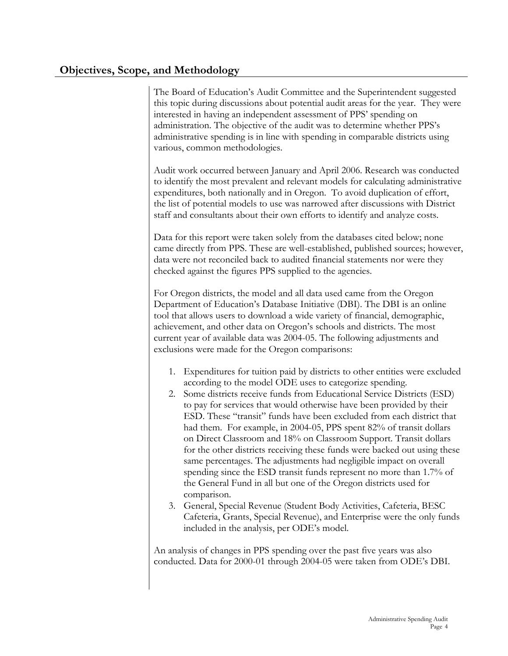# **Objectives, Scope, and Methodology**

The Board of Education's Audit Committee and the Superintendent suggested this topic during discussions about potential audit areas for the year. They were interested in having an independent assessment of PPS' spending on administration. The objective of the audit was to determine whether PPS's administrative spending is in line with spending in comparable districts using various, common methodologies.

Audit work occurred between January and April 2006. Research was conducted to identify the most prevalent and relevant models for calculating administrative expenditures, both nationally and in Oregon. To avoid duplication of effort, the list of potential models to use was narrowed after discussions with District staff and consultants about their own efforts to identify and analyze costs.

Data for this report were taken solely from the databases cited below; none came directly from PPS. These are well-established, published sources; however, data were not reconciled back to audited financial statements nor were they checked against the figures PPS supplied to the agencies.

For Oregon districts, the model and all data used came from the Oregon Department of Education's Database Initiative (DBI). The DBI is an online tool that allows users to download a wide variety of financial, demographic, achievement, and other data on Oregon's schools and districts. The most current year of available data was 2004-05. The following adjustments and exclusions were made for the Oregon comparisons:

- 1. Expenditures for tuition paid by districts to other entities were excluded according to the model ODE uses to categorize spending.
- 2. Some districts receive funds from Educational Service Districts (ESD) to pay for services that would otherwise have been provided by their ESD. These "transit" funds have been excluded from each district that had them. For example, in 2004-05, PPS spent 82% of transit dollars on Direct Classroom and 18% on Classroom Support. Transit dollars for the other districts receiving these funds were backed out using these same percentages. The adjustments had negligible impact on overall spending since the ESD transit funds represent no more than 1.7% of the General Fund in all but one of the Oregon districts used for comparison.
- 3. General, Special Revenue (Student Body Activities, Cafeteria, BESC Cafeteria, Grants, Special Revenue), and Enterprise were the only funds included in the analysis, per ODE's model.

An analysis of changes in PPS spending over the past five years was also conducted. Data for 2000-01 through 2004-05 were taken from ODE's DBI.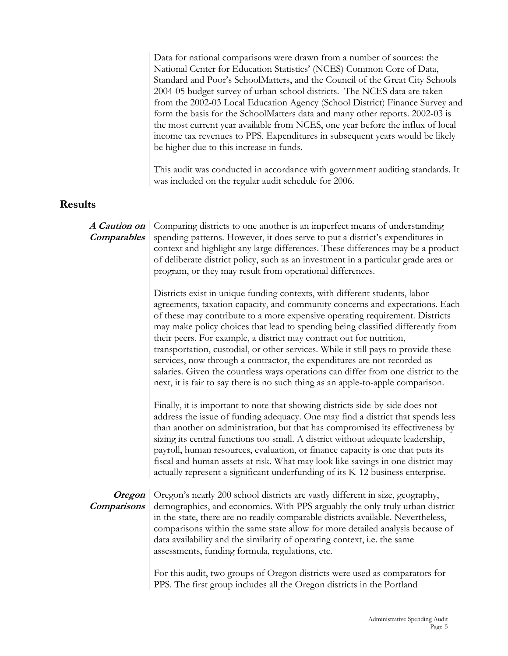|                              | Data for national comparisons were drawn from a number of sources: the<br>National Center for Education Statistics' (NCES) Common Core of Data,<br>Standard and Poor's SchoolMatters, and the Council of the Great City Schools<br>2004-05 budget survey of urban school districts. The NCES data are taken<br>from the 2002-03 Local Education Agency (School District) Finance Survey and<br>form the basis for the SchoolMatters data and many other reports. 2002-03 is<br>the most current year available from NCES, one year before the influx of local<br>income tax revenues to PPS. Expenditures in subsequent years would be likely<br>be higher due to this increase in funds.<br>This audit was conducted in accordance with government auditing standards. It |
|------------------------------|----------------------------------------------------------------------------------------------------------------------------------------------------------------------------------------------------------------------------------------------------------------------------------------------------------------------------------------------------------------------------------------------------------------------------------------------------------------------------------------------------------------------------------------------------------------------------------------------------------------------------------------------------------------------------------------------------------------------------------------------------------------------------|
|                              | was included on the regular audit schedule for 2006.                                                                                                                                                                                                                                                                                                                                                                                                                                                                                                                                                                                                                                                                                                                       |
| <b>Results</b>               |                                                                                                                                                                                                                                                                                                                                                                                                                                                                                                                                                                                                                                                                                                                                                                            |
| A Caution on<br>Comparables  | Comparing districts to one another is an imperfect means of understanding<br>spending patterns. However, it does serve to put a district's expenditures in<br>context and highlight any large differences. These differences may be a product<br>of deliberate district policy, such as an investment in a particular grade area or<br>program, or they may result from operational differences.                                                                                                                                                                                                                                                                                                                                                                           |
|                              | Districts exist in unique funding contexts, with different students, labor<br>agreements, taxation capacity, and community concerns and expectations. Each<br>of these may contribute to a more expensive operating requirement. Districts<br>may make policy choices that lead to spending being classified differently from<br>their peers. For example, a district may contract out for nutrition,<br>transportation, custodial, or other services. While it still pays to provide these<br>services, now through a contractor, the expenditures are not recorded as<br>salaries. Given the countless ways operations can differ from one district to the<br>next, it is fair to say there is no such thing as an apple-to-apple comparison.                            |
|                              | Finally, it is important to note that showing districts side-by-side does not<br>address the issue of funding adequacy. One may find a district that spends less<br>than another on administration, but that has compromised its effectiveness by<br>sizing its central functions too small. A district without adequate leadership,<br>payroll, human resources, evaluation, or finance capacity is one that puts its<br>fiscal and human assets at risk. What may look like savings in one district may<br>actually represent a significant underfunding of its K-12 business enterprise.                                                                                                                                                                                |
| Oregon<br><b>Comparisons</b> | Oregon's nearly 200 school districts are vastly different in size, geography,<br>demographics, and economics. With PPS arguably the only truly urban district<br>in the state, there are no readily comparable districts available. Nevertheless,<br>comparisons within the same state allow for more detailed analysis because of<br>data availability and the similarity of operating context, i.e. the same<br>assessments, funding formula, regulations, etc.                                                                                                                                                                                                                                                                                                          |
|                              | For this audit, two groups of Oregon districts were used as comparators for<br>PPS. The first group includes all the Oregon districts in the Portland                                                                                                                                                                                                                                                                                                                                                                                                                                                                                                                                                                                                                      |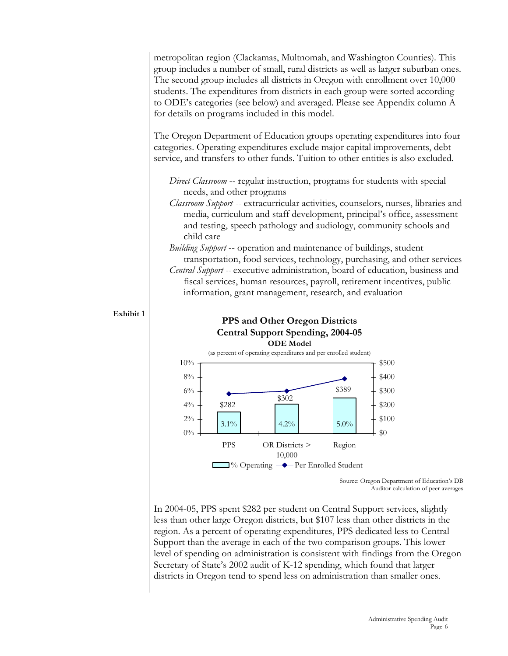metropolitan region (Clackamas, Multnomah, and Washington Counties). This group includes a number of small, rural districts as well as larger suburban ones. The second group includes all districts in Oregon with enrollment over 10,000 students. The expenditures from districts in each group were sorted according to ODE's categories (see below) and averaged. Please see Appendix column A for details on programs included in this model.

The Oregon Department of Education groups operating expenditures into four categories. Operating expenditures exclude major capital improvements, debt service, and transfers to other funds. Tuition to other entities is also excluded.

*Direct Classroom* -- regular instruction, programs for students with special needs, and other programs

- *Classroom Support* -- extracurricular activities, counselors, nurses, libraries and media, curriculum and staff development, principal's office, assessment and testing, speech pathology and audiology, community schools and child care
- *Building Support* -- operation and maintenance of buildings, student transportation, food services, technology, purchasing, and other services
- *Central Support --* executive administration, board of education, business and fiscal services, human resources, payroll, retirement incentives, public information, grant management, research, and evaluation



In 2004-05, PPS spent \$282 per student on Central Support services, slightly less than other large Oregon districts, but \$107 less than other districts in the region. As a percent of operating expenditures, PPS dedicated less to Central Support than the average in each of the two comparison groups. This lower level of spending on administration is consistent with findings from the Oregon Secretary of State's 2002 audit of K-12 spending, which found that larger districts in Oregon tend to spend less on administration than smaller ones.

## **Exhibit 1**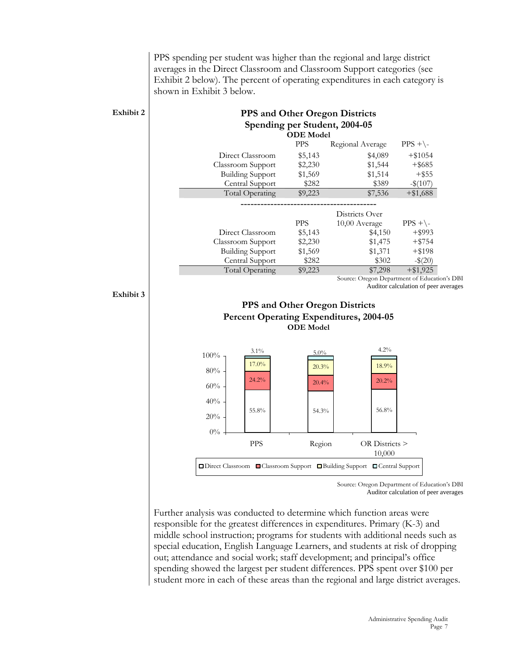PPS spending per student was higher than the regional and large district averages in the Direct Classroom and Classroom Support categories (see Exhibit 2 below). The percent of operating expenditures in each category is shown in Exhibit 3 below.

| Exhibit 2                                      |                                                                             | <b>ODE</b> Model | <b>PPS and Other Oregon Districts</b><br>Spending per Student, 2004-05 |                                      |  |
|------------------------------------------------|-----------------------------------------------------------------------------|------------------|------------------------------------------------------------------------|--------------------------------------|--|
|                                                |                                                                             | <b>PPS</b>       | Regional Average                                                       | $PPS + \$                            |  |
|                                                | Direct Classroom                                                            | \$5,143          | \$4,089                                                                | $+ $1054$                            |  |
|                                                | Classroom Support                                                           | \$2,230          | \$1,544                                                                | $+$ \$685                            |  |
|                                                | <b>Building Support</b>                                                     | \$1,569          | \$1,514                                                                | $+$ \$55                             |  |
|                                                | Central Support                                                             | \$282            | \$389                                                                  | $-$ \$(107)                          |  |
|                                                | <b>Total Operating</b>                                                      | \$9,223          | \$7,536                                                                | $+ $1,688$                           |  |
|                                                |                                                                             |                  | Districts Over                                                         |                                      |  |
|                                                |                                                                             | <b>PPS</b>       | 10,00 Average                                                          | $PPS + \$                            |  |
|                                                | Direct Classroom                                                            | \$5,143          | \$4,150                                                                | $+$ \$993                            |  |
|                                                | Classroom Support                                                           | \$2,230          | \$1,475                                                                | $+ $754$                             |  |
|                                                | <b>Building Support</b>                                                     | \$1,569          | \$1,371                                                                | $+$ \$198                            |  |
|                                                | Central Support                                                             | \$282            | \$302                                                                  | $-$ \$(20)                           |  |
|                                                | <b>Total Operating</b>                                                      | \$9,223          | \$7,298                                                                | $+ $1,925$                           |  |
|                                                |                                                                             |                  | Source: Oregon Department of Education's DBI                           | Auditor calculation of peer averages |  |
| Exhibit 3                                      |                                                                             |                  | <b>PPS and Other Oregon Districts</b>                                  |                                      |  |
| <b>Percent Operating Expenditures, 2004-05</b> |                                                                             |                  |                                                                        |                                      |  |
|                                                |                                                                             | <b>ODE</b> Model |                                                                        |                                      |  |
|                                                | 3.1%                                                                        | 5.0%             | 4.2%                                                                   |                                      |  |
|                                                | $100\%$<br>17.0%                                                            |                  |                                                                        |                                      |  |
|                                                | 80%                                                                         | 20.3%            | 18.9%                                                                  |                                      |  |
|                                                | 24.2%<br>60%                                                                | 20.4%            | 20.2%                                                                  |                                      |  |
|                                                | 40%                                                                         |                  |                                                                        |                                      |  |
|                                                | 55.8%<br>20%                                                                | 54.3%            | 56.8%                                                                  |                                      |  |
|                                                | $0\%$                                                                       |                  |                                                                        |                                      |  |
|                                                | <b>PPS</b>                                                                  | Region           | OR Districts ><br>10,000                                               |                                      |  |
|                                                | □ Direct Classroom ■ Classroom Support ■ Building Support ■ Central Support |                  |                                                                        |                                      |  |

Source: Oregon Department of Education's DBI Auditor calculation of peer averages

Further analysis was conducted to determine which function areas were responsible for the greatest differences in expenditures. Primary (K-3) and middle school instruction; programs for students with additional needs such as special education, English Language Learners, and students at risk of dropping out; attendance and social work; staff development; and principal's office spending showed the largest per student differences. PPS spent over \$100 per student more in each of these areas than the regional and large district averages.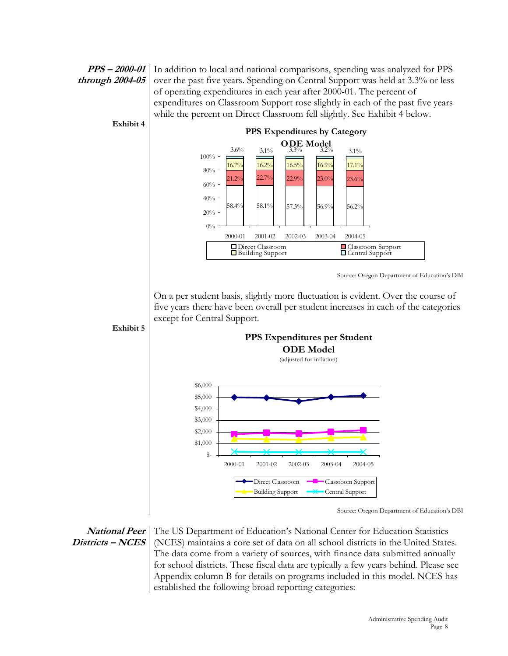### **PPS – 2000-01 through 2004-05**

In addition to local and national comparisons, spending was analyzed for PPS over the past five years. Spending on Central Support was held at 3.3% or less of operating expenditures in each year after 2000-01. The percent of expenditures on Classroom Support rose slightly in each of the past five years while the percent on Direct Classroom fell slightly. See Exhibit 4 below.



**National Peer Districts – NCES**  The US Department of Education's National Center for Education Statistics (NCES) maintains a core set of data on all school districts in the United States. The data come from a variety of sources, with finance data submitted annually for school districts. These fiscal data are typically a few years behind. Please see Appendix column B for details on programs included in this model. NCES has established the following broad reporting categories: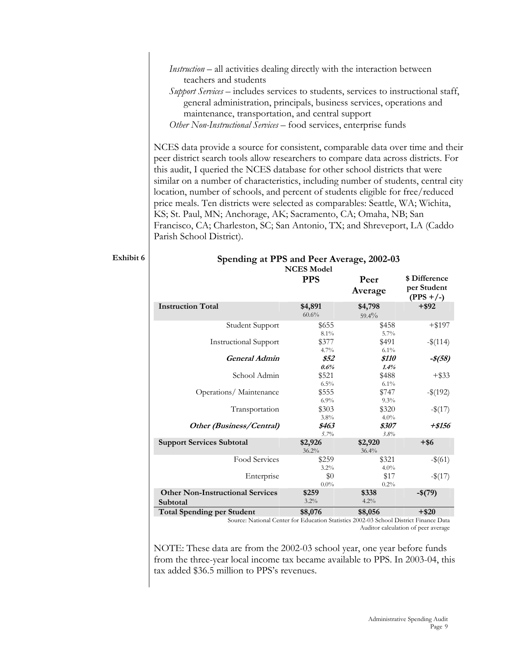*Instruction –* all activities dealing directly with the interaction between teachers and students

*Support Services –* includes services to students, services to instructional staff, general administration, principals, business services, operations and maintenance, transportation, and central support *Other Non-Instructional Services* – food services, enterprise funds

NCES data provide a source for consistent, comparable data over time and their peer district search tools allow researchers to compare data across districts. For this audit, I queried the NCES database for other school districts that were similar on a number of characteristics, including number of students, central city location, number of schools, and percent of students eligible for free/reduced price meals. Ten districts were selected as comparables: Seattle, WA; Wichita, KS; St. Paul, MN; Anchorage, AK; Sacramento, CA; Omaha, NB; San Francisco, CA; Charleston, SC; San Antonio, TX; and Shreveport, LA (Caddo Parish School District).

Exhibit 6 Spending at PPS and Peer Average, 2002-03 **NCES Model**

|                                                     | <b>PPS</b>                                                                                     | Peer<br>Average     | \$ Difference<br>per Student<br>$(PPS + / -)$ |
|-----------------------------------------------------|------------------------------------------------------------------------------------------------|---------------------|-----------------------------------------------|
| <b>Instruction Total</b>                            | \$4,891<br>60.6%                                                                               | \$4,798<br>$59.4\%$ | $+$ \$92                                      |
| Student Support                                     | \$655<br>8.1%                                                                                  | \$458<br>5.7%       | $+$ \$197                                     |
| <b>Instructional Support</b>                        | \$377<br>4.7%                                                                                  | \$491<br>6.1%       | $-\$(114)$                                    |
| General Admin                                       | \$52<br>0.6%                                                                                   | \$110<br>1.4%       | $-$ \$(58)                                    |
| School Admin                                        | \$521<br>$6.5\%$                                                                               | \$488<br>6.1%       | $+$ \$33                                      |
| Operations/Maintenance                              | \$555<br>6.9%                                                                                  | \$747<br>9.3%       | $-\$(192)$                                    |
| Transportation                                      | \$303<br>3.8%                                                                                  | \$320<br>4.0%       | $-$ \$(17)                                    |
| Other (Business/Central)                            | \$463<br>5.7%                                                                                  | \$307<br>3.8%       | +\$156                                        |
| <b>Support Services Subtotal</b>                    | \$2,926<br>36.2%                                                                               | \$2,920<br>36.4%    | $+$ \$6                                       |
| Food Services                                       | \$259<br>3.2%                                                                                  | \$321<br>4.0%       | $-\$(61)$                                     |
| Enterprise                                          | $\$0$<br>$0.0\%$                                                                               | \$17<br>0.2%        | $-$ \$(17)                                    |
| <b>Other Non-Instructional Services</b><br>Subtotal | \$259<br>3.2%                                                                                  | \$338<br>4.2%       | $-$(79)$                                      |
| <b>Total Spending per Student</b>                   | \$8,076<br>Course Netword Contaggler Education Statistics 2002-02 School District Eigense Dete | \$8,056             | $+ $20$                                       |

Source: National Center for Education Statistics 2002-03 School District Finance Data Auditor calculation of peer average

NOTE: These data are from the 2002-03 school year, one year before funds from the three-year local income tax became available to PPS. In 2003-04, this tax added \$36.5 million to PPS's revenues.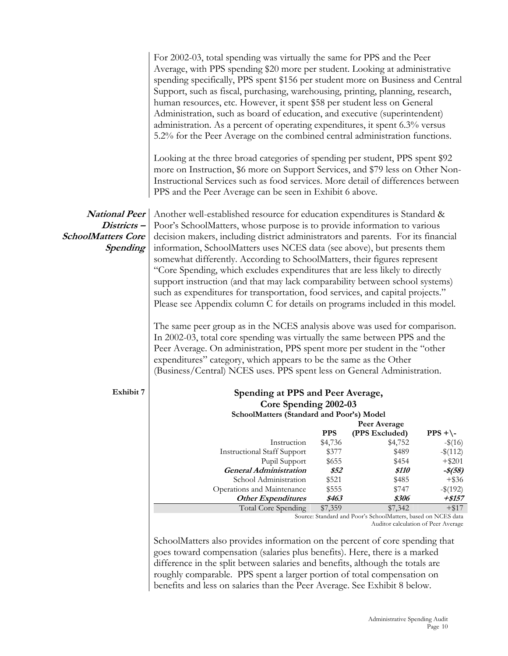|                           | For 2002-03, total spending was virtually the same for PPS and the Peer<br>Average, with PPS spending \$20 more per student. Looking at administrative<br>spending specifically, PPS spent \$156 per student more on Business and Central<br>Support, such as fiscal, purchasing, warehousing, printing, planning, research,<br>human resources, etc. However, it spent \$58 per student less on General<br>Administration, such as board of education, and executive (superintendent)<br>administration. As a percent of operating expenditures, it spent 6.3% versus<br>5.2% for the Peer Average on the combined central administration functions.<br>Looking at the three broad categories of spending per student, PPS spent \$92<br>more on Instruction, \$6 more on Support Services, and \$79 less on Other Non-<br>Instructional Services such as food services. More detail of differences between<br>PPS and the Peer Average can be seen in Exhibit 6 above. |               |                                                               |                        |
|---------------------------|--------------------------------------------------------------------------------------------------------------------------------------------------------------------------------------------------------------------------------------------------------------------------------------------------------------------------------------------------------------------------------------------------------------------------------------------------------------------------------------------------------------------------------------------------------------------------------------------------------------------------------------------------------------------------------------------------------------------------------------------------------------------------------------------------------------------------------------------------------------------------------------------------------------------------------------------------------------------------|---------------|---------------------------------------------------------------|------------------------|
| <b>National Peer</b>      | Another well-established resource for education expenditures is Standard &                                                                                                                                                                                                                                                                                                                                                                                                                                                                                                                                                                                                                                                                                                                                                                                                                                                                                               |               |                                                               |                        |
| Districts-                | Poor's SchoolMatters, whose purpose is to provide information to various                                                                                                                                                                                                                                                                                                                                                                                                                                                                                                                                                                                                                                                                                                                                                                                                                                                                                                 |               |                                                               |                        |
| <b>SchoolMatters Core</b> | decision makers, including district administrators and parents. For its financial                                                                                                                                                                                                                                                                                                                                                                                                                                                                                                                                                                                                                                                                                                                                                                                                                                                                                        |               |                                                               |                        |
| <b>Spending</b>           | information, SchoolMatters uses NCES data (see above), but presents them<br>somewhat differently. According to SchoolMatters, their figures represent                                                                                                                                                                                                                                                                                                                                                                                                                                                                                                                                                                                                                                                                                                                                                                                                                    |               |                                                               |                        |
|                           | "Core Spending, which excludes expenditures that are less likely to directly                                                                                                                                                                                                                                                                                                                                                                                                                                                                                                                                                                                                                                                                                                                                                                                                                                                                                             |               |                                                               |                        |
|                           | support instruction (and that may lack comparability between school systems)                                                                                                                                                                                                                                                                                                                                                                                                                                                                                                                                                                                                                                                                                                                                                                                                                                                                                             |               |                                                               |                        |
|                           | such as expenditures for transportation, food services, and capital projects."                                                                                                                                                                                                                                                                                                                                                                                                                                                                                                                                                                                                                                                                                                                                                                                                                                                                                           |               |                                                               |                        |
|                           | Please see Appendix column C for details on programs included in this model.                                                                                                                                                                                                                                                                                                                                                                                                                                                                                                                                                                                                                                                                                                                                                                                                                                                                                             |               |                                                               |                        |
|                           | The same peer group as in the NCES analysis above was used for comparison.<br>In 2002-03, total core spending was virtually the same between PPS and the<br>Peer Average. On administration, PPS spent more per student in the "other<br>expenditures" category, which appears to be the same as the Other<br>(Business/Central) NCES uses. PPS spent less on General Administration.                                                                                                                                                                                                                                                                                                                                                                                                                                                                                                                                                                                    |               |                                                               |                        |
| Exhibit 7                 | Spending at PPS and Peer Average,                                                                                                                                                                                                                                                                                                                                                                                                                                                                                                                                                                                                                                                                                                                                                                                                                                                                                                                                        |               |                                                               |                        |
|                           | Core Spending 2002-03                                                                                                                                                                                                                                                                                                                                                                                                                                                                                                                                                                                                                                                                                                                                                                                                                                                                                                                                                    |               |                                                               |                        |
|                           | SchoolMatters (Standard and Poor's) Model                                                                                                                                                                                                                                                                                                                                                                                                                                                                                                                                                                                                                                                                                                                                                                                                                                                                                                                                |               |                                                               |                        |
|                           |                                                                                                                                                                                                                                                                                                                                                                                                                                                                                                                                                                                                                                                                                                                                                                                                                                                                                                                                                                          | <b>PPS</b>    | Peer Average<br>(PPS Excluded)                                | $PPS + \$              |
|                           | Instruction                                                                                                                                                                                                                                                                                                                                                                                                                                                                                                                                                                                                                                                                                                                                                                                                                                                                                                                                                              | \$4,736       | \$4,752                                                       | $-$ \$(16)             |
|                           | <b>Instructional Staff Support</b>                                                                                                                                                                                                                                                                                                                                                                                                                                                                                                                                                                                                                                                                                                                                                                                                                                                                                                                                       | \$377         | \$489                                                         | $-$ \$(112)            |
|                           | Pupil Support                                                                                                                                                                                                                                                                                                                                                                                                                                                                                                                                                                                                                                                                                                                                                                                                                                                                                                                                                            | \$655         | \$454                                                         | $+$ \$201              |
|                           | <b>General Administration</b><br>School Administration                                                                                                                                                                                                                                                                                                                                                                                                                                                                                                                                                                                                                                                                                                                                                                                                                                                                                                                   | \$52<br>\$521 | \$110<br>\$485                                                | $-$ \$(58)<br>$+$ \$36 |
|                           | Operations and Maintenance                                                                                                                                                                                                                                                                                                                                                                                                                                                                                                                                                                                                                                                                                                                                                                                                                                                                                                                                               | \$555         | \$747                                                         | $-$ \$(192)            |
|                           | <b>Other Expenditures</b>                                                                                                                                                                                                                                                                                                                                                                                                                                                                                                                                                                                                                                                                                                                                                                                                                                                                                                                                                | \$463         | \$306                                                         | $+ $157$               |
|                           | Total Core Spending                                                                                                                                                                                                                                                                                                                                                                                                                                                                                                                                                                                                                                                                                                                                                                                                                                                                                                                                                      | \$7,359       | \$7,342                                                       | $+$ \$17               |
|                           |                                                                                                                                                                                                                                                                                                                                                                                                                                                                                                                                                                                                                                                                                                                                                                                                                                                                                                                                                                          |               | Source: Standard and Poor's SchoolMatters, based on NCES data |                        |
|                           |                                                                                                                                                                                                                                                                                                                                                                                                                                                                                                                                                                                                                                                                                                                                                                                                                                                                                                                                                                          |               | Auditor calculation of Peer Average                           |                        |

SchoolMatters also provides information on the percent of core spending that goes toward compensation (salaries plus benefits). Here, there is a marked difference in the split between salaries and benefits, although the totals are roughly comparable. PPS spent a larger portion of total compensation on benefits and less on salaries than the Peer Average. See Exhibit 8 below.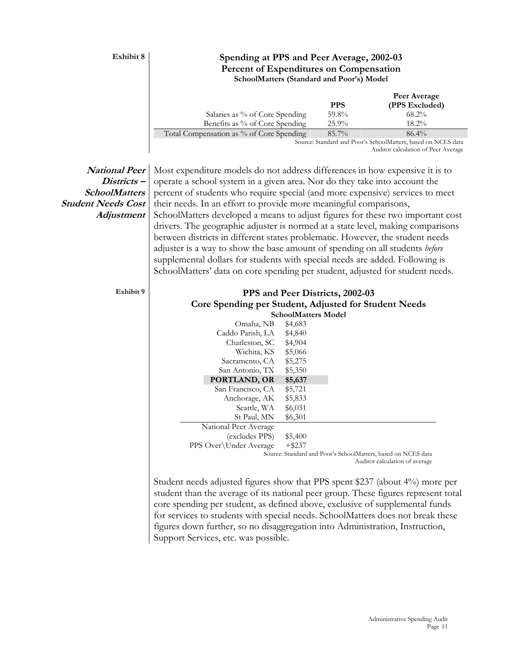#### **Exhibit 8** Spending at PPS and Peer Average, 2002-03 **Percent of Expenditures on Compensation SchoolMatters (Standard and Poor's) Model**

|                                          |            |          | Peer Average   |  |
|------------------------------------------|------------|----------|----------------|--|
|                                          | <b>PPS</b> |          | (PPS Excluded) |  |
| Salaries as % of Core Spending           | 59.8%      |          | $68.2\%$       |  |
| Benefits as % of Core Spending           | $25.9\%$   |          | $18.2\%$       |  |
| Total Compensation as % of Core Spending | $85.7\%$   |          | $86.4\%$       |  |
|                                          |            | $\cdots$ |                |  |

Source: Standard and Poor's SchoolMatters, based on NCES data Auditor calculation of Peer Average

### **National Peer Districts – SchoolMatters Student Needs Cost Adjustment**

Most expenditure models do not address differences in how expensive it is to operate a school system in a given area. Nor do they take into account the percent of students who require special (and more expensive) services to meet their needs. In an effort to provide more meaningful comparisons, SchoolMatters developed a means to adjust figures for these two important cost drivers. The geographic adjuster is normed at a state level, making comparisons between districts in different states problematic. However, the student needs adjuster is a way to show the base amount of spending on all students *before* supplemental dollars for students with special needs are added. Following is SchoolMatters' data on core spending per student, adjusted for student needs.

| Exhibit 9 |                        |                            | PPS and Peer Districts, 2002-03<br>Core Spending per Student, Adjusted for Student Needs |
|-----------|------------------------|----------------------------|------------------------------------------------------------------------------------------|
|           |                        | <b>SchoolMatters Model</b> |                                                                                          |
|           |                        |                            |                                                                                          |
|           | Omaha, NB              | \$4,683                    |                                                                                          |
|           | Caddo Parish, LA       | \$4,840                    |                                                                                          |
|           | Charleston, SC \$4,904 |                            |                                                                                          |
|           | Wichita, KS            | \$5,066                    |                                                                                          |
|           | Sacramento, CA         | \$5,275                    |                                                                                          |
|           | San Antonio, TX        | \$5,350                    |                                                                                          |
|           | PORTLAND, OR           | \$5,637                    |                                                                                          |
|           | San Francisco, CA      | \$5,721                    |                                                                                          |
|           | Anchorage, AK          | \$5,833                    |                                                                                          |
|           | Seattle, WA            | \$6,031                    |                                                                                          |
|           | St Paul, MN            | \$6,301                    |                                                                                          |
|           | National Peer Average  |                            |                                                                                          |
|           | (excludes PPS)         | \$5,400                    |                                                                                          |
|           | PPS Over\Under Average | $+$ \$237                  |                                                                                          |
|           |                        |                            | Source: Standard and Poor's SchoolMatters, based on NCES data                            |
|           |                        |                            | Auditor calculation of average                                                           |

Student needs adjusted figures show that PPS spent \$237 (about 4%) more per student than the average of its national peer group. These figures represent total core spending per student, as defined above, exclusive of supplemental funds for services to students with special needs. SchoolMatters does not break these figures down further, so no disaggregation into Administration, Instruction, Support Services, etc. was possible.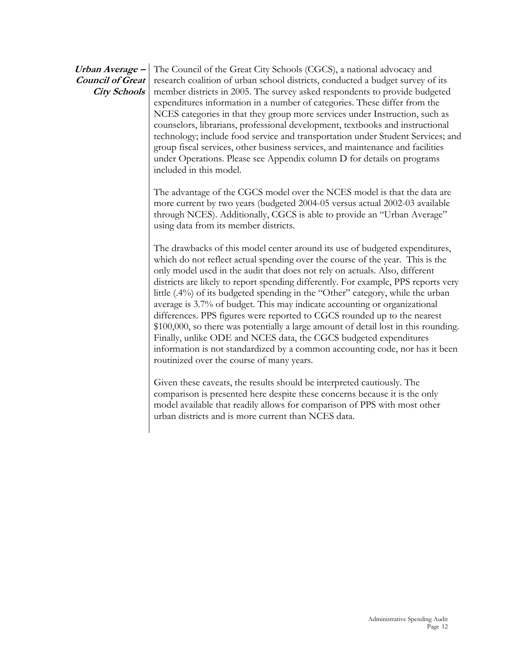#### **Urban Average – Council of Great City Schools**  The Council of the Great City Schools (CGCS), a national advocacy and research coalition of urban school districts, conducted a budget survey of its member districts in 2005. The survey asked respondents to provide budgeted expenditures information in a number of categories. These differ from the NCES categories in that they group more services under Instruction, such as counselors, librarians, professional development, textbooks and instructional technology; include food service and transportation under Student Services; and group fiscal services, other business services, and maintenance and facilities under Operations. Please see Appendix column D for details on programs included in this model.

The advantage of the CGCS model over the NCES model is that the data are more current by two years (budgeted 2004-05 versus actual 2002-03 available through NCES). Additionally, CGCS is able to provide an "Urban Average" using data from its member districts.

The drawbacks of this model center around its use of budgeted expenditures, which do not reflect actual spending over the course of the year. This is the only model used in the audit that does not rely on actuals. Also, different districts are likely to report spending differently. For example, PPS reports very little (.4%) of its budgeted spending in the "Other" category, while the urban average is 3.7% of budget. This may indicate accounting or organizational differences. PPS figures were reported to CGCS rounded up to the nearest \$100,000, so there was potentially a large amount of detail lost in this rounding. Finally, unlike ODE and NCES data, the CGCS budgeted expenditures information is not standardized by a common accounting code, nor has it been routinized over the course of many years.

Given these caveats, the results should be interpreted cautiously. The comparison is presented here despite these concerns because it is the only model available that readily allows for comparison of PPS with most other urban districts and is more current than NCES data.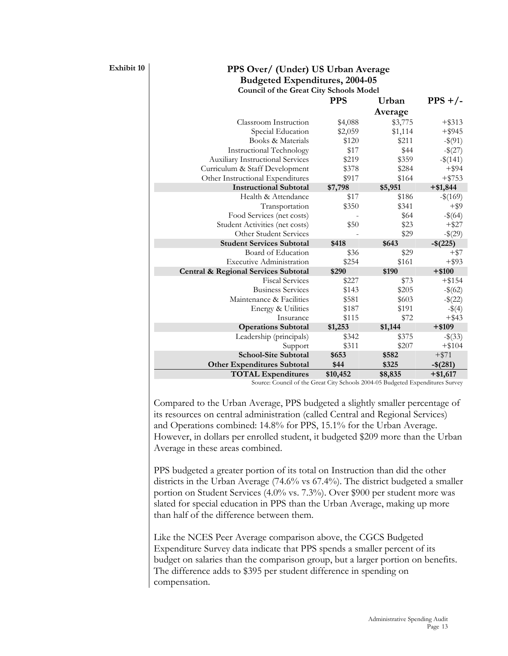### **Exhibit 10 PPS Over/ (Under) US Urban Average Budgeted Expenditures, 2004-05 Council of the Great City Schools Model**

| <b>PPS</b> | Urban   | $PPS + / -$ |
|------------|---------|-------------|
|            | Average |             |
| \$4,088    | \$3,775 | $+$ \$313   |
| \$2,059    | \$1,114 | $+$ \$945   |
| \$120      | \$211   | $-$ \$(91)  |
| \$17       | \$44    | $-$ \$(27)  |
| \$219      | \$359   | $-\$(141)$  |
| \$378      | \$284   | $+$ \$94    |
| \$917      | \$164   | $+ $753$    |
| \$7,798    | \$5,951 | $+ $1,844$  |
| \$17       | \$186   | $-$ \$(169) |
| \$350      | \$341   | $+$ \$9     |
|            | \$64    | $-\$(64)$   |
| \$50       | \$23    | $+$ \$27    |
|            | \$29    | $-$ \$(29)  |
| \$418      | \$643   | $-$(225)$   |
| \$36       | \$29    | $+$ \$7     |
| \$254      | \$161   | $+$ \$93    |
| \$290      | \$190   | $+ $100$    |
| \$227      | \$73    | $+$ \$154   |
| \$143      | \$205   | $-\$(62)$   |
| \$581      | \$603   | $-$ \$(22)  |
| \$187      | \$191   | $-$ \$(4)   |
| \$115      | \$72    | $+$ \$43    |
| \$1,253    | \$1,144 | $+ $109$    |
| \$342      | \$375   | $-\$(33)$   |
| \$311      | \$207   | $+ $104$    |
| \$653      | \$582   | $+ $71$     |
| \$44       | \$325   | $-$ \$(281) |
|            |         |             |
|            |         |             |

Source: Council of the Great City Schools 2004-05 Budgeted Expenditures Survey

Compared to the Urban Average, PPS budgeted a slightly smaller percentage of its resources on central administration (called Central and Regional Services) and Operations combined: 14.8% for PPS, 15.1% for the Urban Average. However, in dollars per enrolled student, it budgeted \$209 more than the Urban Average in these areas combined.

PPS budgeted a greater portion of its total on Instruction than did the other districts in the Urban Average (74.6% vs 67.4%). The district budgeted a smaller portion on Student Services (4.0% vs. 7.3%). Over \$900 per student more was slated for special education in PPS than the Urban Average, making up more than half of the difference between them.

Like the NCES Peer Average comparison above, the CGCS Budgeted Expenditure Survey data indicate that PPS spends a smaller percent of its budget on salaries than the comparison group, but a larger portion on benefits. The difference adds to \$395 per student difference in spending on compensation.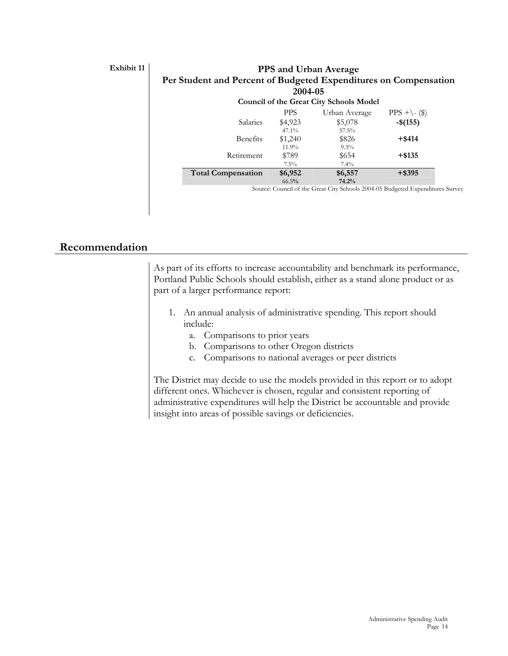## **Exhibit 11**

|                                                                  |            | <b>PPS and Urban Average</b>                   |                                                                                |
|------------------------------------------------------------------|------------|------------------------------------------------|--------------------------------------------------------------------------------|
| Per Student and Percent of Budgeted Expenditures on Compensation |            |                                                |                                                                                |
|                                                                  | 2004-05    |                                                |                                                                                |
|                                                                  |            | <b>Council of the Great City Schools Model</b> |                                                                                |
|                                                                  | <b>PPS</b> | Urban Average                                  | $PPS + \-($ \$)                                                                |
| Salaries                                                         | \$4,923    | \$5,078                                        | $-$ \$(155)                                                                    |
|                                                                  | $47.1\%$   | 57.5%                                          |                                                                                |
| Benefits                                                         | \$1,240    | \$826                                          | $+$ \$414                                                                      |
|                                                                  | 11.9%      | $9.3\%$                                        |                                                                                |
| Retirement                                                       | \$789      | \$654                                          | $+$ \$135                                                                      |
|                                                                  | $7.5\%$    | $7.4\%$                                        |                                                                                |
| <b>Total Compensation</b>                                        | \$6,952    | \$6,557                                        | $+$ \$395                                                                      |
|                                                                  | 66.5%      | 74.2%                                          |                                                                                |
|                                                                  |            |                                                | Source: Council of the Great City Schools 2004-05 Budgeted Expenditures Survey |

# **Recommendation**

| As part of its efforts to increase accountability and benchmark its performance, |
|----------------------------------------------------------------------------------|
| Portland Public Schools should establish, either as a stand alone product or as  |
| part of a larger performance report:                                             |
| 1. An annual analysis of administrative spending. This report should<br>include: |
| a. Comparisons to prior years                                                    |
| b. Comparisons to other Oregon districts                                         |
| c. Comparisons to national averages or peer districts                            |
|                                                                                  |
| The District may decide to use the models provided in this report or to adopt    |
| different ones. Whichever is chosen, regular and consistent reporting of         |
| administrative expenditures will help the District be accountable and provide    |
| insight into areas of possible savings or deficiencies.                          |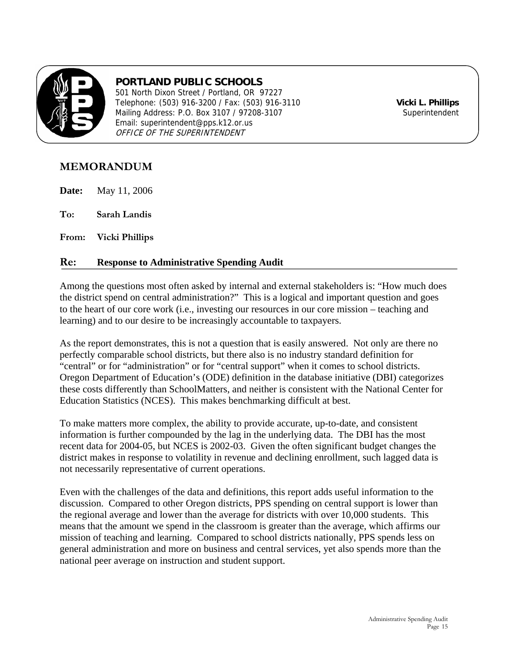

# **PORTLAND PUBLIC SCHOOLS**

501 North Dixon Street / Portland, OR 97227 Telephone: (503) 916-3200 / Fax: (503) 916-3110 **Vicki L. Phillips** Mailing Address: P.O. Box 3107 / 97208-3107 Email: superintendent@pps.k12.or.us OFFICE OF THE SUPERINTENDENT

# **MEMORANDUM**

**Date:** May 11, 2006

**To: Sarah Landis** 

**From: Vicki Phillips** 

## **Re: Response to Administrative Spending Audit**

Among the questions most often asked by internal and external stakeholders is: "How much does the district spend on central administration?" This is a logical and important question and goes to the heart of our core work (i.e., investing our resources in our core mission – teaching and learning) and to our desire to be increasingly accountable to taxpayers.

As the report demonstrates, this is not a question that is easily answered. Not only are there no perfectly comparable school districts, but there also is no industry standard definition for "central" or for "administration" or for "central support" when it comes to school districts. Oregon Department of Education's (ODE) definition in the database initiative (DBI) categorizes these costs differently than SchoolMatters, and neither is consistent with the National Center for Education Statistics (NCES). This makes benchmarking difficult at best.

To make matters more complex, the ability to provide accurate, up-to-date, and consistent information is further compounded by the lag in the underlying data. The DBI has the most recent data for 2004-05, but NCES is 2002-03. Given the often significant budget changes the district makes in response to volatility in revenue and declining enrollment, such lagged data is not necessarily representative of current operations.

Even with the challenges of the data and definitions, this report adds useful information to the discussion. Compared to other Oregon districts, PPS spending on central support is lower than the regional average and lower than the average for districts with over 10,000 students. This means that the amount we spend in the classroom is greater than the average, which affirms our mission of teaching and learning. Compared to school districts nationally, PPS spends less on general administration and more on business and central services, yet also spends more than the national peer average on instruction and student support.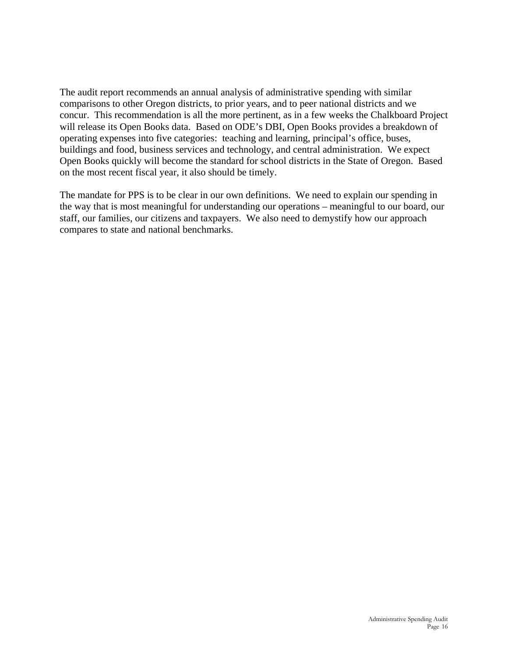The audit report recommends an annual analysis of administrative spending with similar comparisons to other Oregon districts, to prior years, and to peer national districts and we concur. This recommendation is all the more pertinent, as in a few weeks the Chalkboard Project will release its Open Books data. Based on ODE's DBI, Open Books provides a breakdown of operating expenses into five categories: teaching and learning, principal's office, buses, buildings and food, business services and technology, and central administration. We expect Open Books quickly will become the standard for school districts in the State of Oregon. Based on the most recent fiscal year, it also should be timely.

The mandate for PPS is to be clear in our own definitions. We need to explain our spending in the way that is most meaningful for understanding our operations – meaningful to our board, our staff, our families, our citizens and taxpayers. We also need to demystify how our approach compares to state and national benchmarks.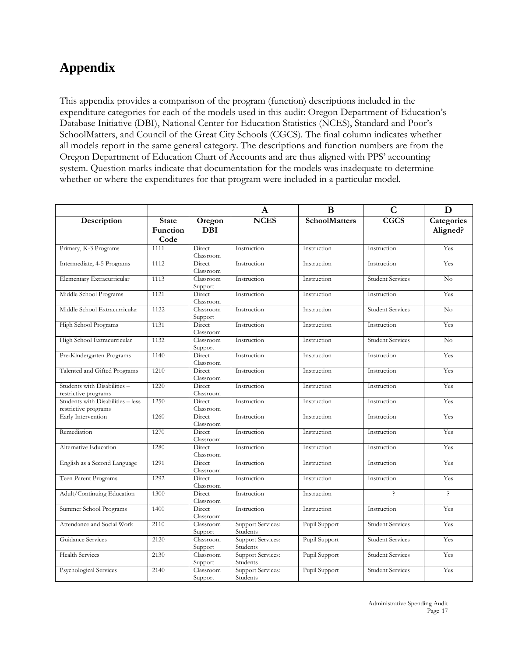# **Appendix**

This appendix provides a comparison of the program (function) descriptions included in the expenditure categories for each of the models used in this audit: Oregon Department of Education's Database Initiative (DBI), National Center for Education Statistics (NCES), Standard and Poor's SchoolMatters, and Council of the Great City Schools (CGCS). The final column indicates whether all models report in the same general category. The descriptions and function numbers are from the Oregon Department of Education Chart of Accounts and are thus aligned with PPS' accounting system. Question marks indicate that documentation for the models was inadequate to determine whether or where the expenditures for that program were included in a particular model.

|                                                           |                                  |                      | $\mathbf{A}$                         | B                    | $\mathbf C$             | D                      |
|-----------------------------------------------------------|----------------------------------|----------------------|--------------------------------------|----------------------|-------------------------|------------------------|
| Description                                               | <b>State</b><br>Function<br>Code | Oregon<br><b>DBI</b> | <b>NCES</b>                          | <b>SchoolMatters</b> | CGCS                    | Categories<br>Aligned? |
| Primary, K-3 Programs                                     | 1111                             | Direct<br>Classroom  | Instruction                          | Instruction          | Instruction             | Yes                    |
| Intermediate, 4-5 Programs                                | 1112                             | Direct<br>Classroom  | Instruction                          | Instruction          | Instruction             | Yes                    |
| Elementary Extracurricular                                | 1113                             | Classroom<br>Support | Instruction                          | Instruction          | <b>Student Services</b> | No                     |
| Middle School Programs                                    | 1121                             | Direct<br>Classroom  | Instruction                          | Instruction          | Instruction             | Yes                    |
| Middle School Extracurricular                             | 1122                             | Classroom<br>Support | Instruction                          | Instruction          | <b>Student Services</b> | No                     |
| High School Programs                                      | 1131                             | Direct<br>Classroom  | Instruction                          | Instruction          | Instruction             | Yes                    |
| High School Extracurricular                               | 1132                             | Classroom<br>Support | Instruction                          | Instruction          | <b>Student Services</b> | No                     |
| Pre-Kindergarten Programs                                 | 1140                             | Direct<br>Classroom  | Instruction                          | Instruction          | Instruction             | Yes                    |
| Talented and Gifted Programs                              | 1210                             | Direct<br>Classroom  | Instruction                          | Instruction          | Instruction             | Yes                    |
| Students with Disabilities -<br>restrictive programs      | 1220                             | Direct<br>Classroom  | Instruction                          | Instruction          | Instruction             | Yes                    |
| Students with Disabilities - less<br>restrictive programs | 1250                             | Direct<br>Classroom  | Instruction                          | Instruction          | Instruction             | Yes                    |
| Early Intervention                                        | 1260                             | Direct<br>Classroom  | Instruction                          | Instruction          | Instruction             | Yes                    |
| Remediation                                               | 1270                             | Direct<br>Classroom  | Instruction                          | Instruction          | Instruction             | Yes                    |
| Alternative Education                                     | 1280                             | Direct<br>Classroom  | Instruction                          | Instruction          | Instruction             | Yes                    |
| English as a Second Language                              | 1291                             | Direct<br>Classroom  | Instruction                          | Instruction          | Instruction             | Yes                    |
| Teen Parent Programs                                      | 1292                             | Direct<br>Classroom  | Instruction                          | Instruction          | Instruction             | Yes                    |
| Adult/Continuing Education                                | 1300                             | Direct<br>Classroom  | Instruction                          | Instruction          | ς                       | P                      |
| Summer School Programs                                    | 1400                             | Direct<br>Classroom  | Instruction                          | Instruction          | Instruction             | Yes                    |
| Attendance and Social Work                                | 2110                             | Classroom<br>Support | <b>Support Services:</b><br>Students | Pupil Support        | <b>Student Services</b> | Yes                    |
| Guidance Services                                         | 2120                             | Classroom<br>Support | <b>Support Services:</b><br>Students | Pupil Support        | <b>Student Services</b> | Yes                    |
| <b>Health Services</b>                                    | 2130                             | Classroom<br>Support | <b>Support Services:</b><br>Students | Pupil Support        | <b>Student Services</b> | Yes                    |
| Psychological Services                                    | 2140                             | Classroom<br>Support | <b>Support Services:</b><br>Students | Pupil Support        | <b>Student Services</b> | Yes                    |